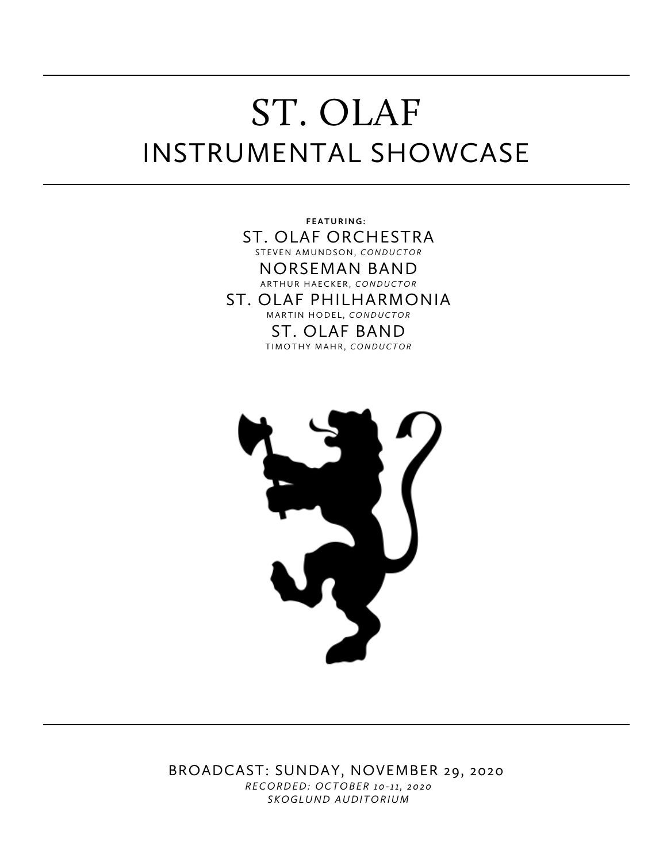# ST. OLAF INSTRUMENTAL SHOWCASE

**FEATURING:** ST. OLAF ORCHESTRA STEVEN AMUNDSON, *CONDUCTOR* NORSEMAN BAND ARTHUR HAECKER, *CONDUCTOR* ST. OLAF PHILHARMONIA MARTIN HODEL, *CONDUCTOR* ST. OLAF BAND TIMOTHY MAHR, *CONDUCTOR*



BROADCAST: SUNDAY, NOVEMBER 29, 2020 *RECORDED: OCTOBER 10-11, 2020 SKOGLUND AUDITORIUM*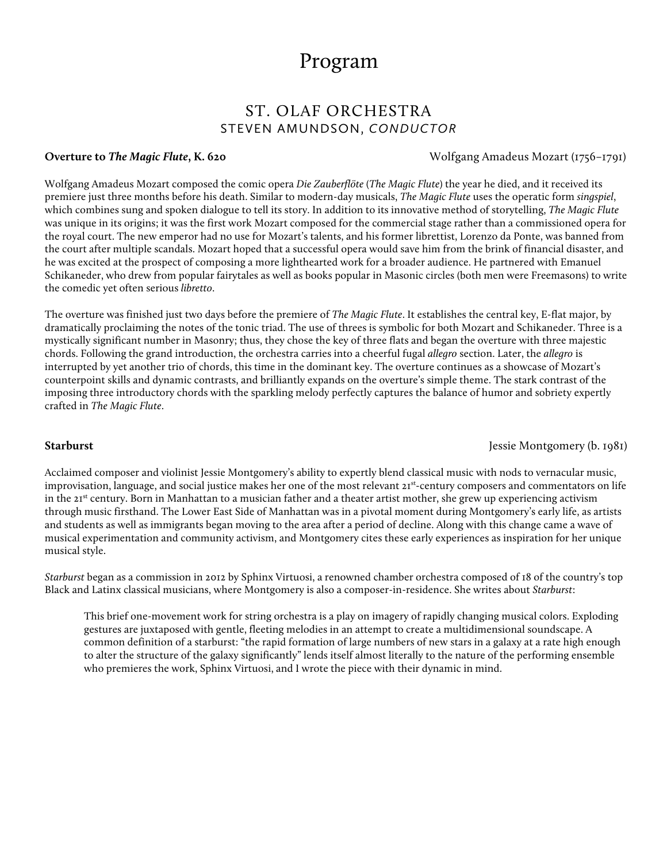## Program

## ST. OLAF ORCHESTRA STEVEN AMUNDSON, *CONDUCTOR*

**Overture to** *The Magic Flute***, K. 620** Wolfgang Amadeus Mozart (1756–1791)

Wolfgang Amadeus Mozart composed the comic opera *Die Zauberflöte* (*The Magic Flute*) the year he died, and it received its premiere just three months before his death. Similar to modern-day musicals, *The Magic Flute* uses the operatic form *singspiel*, which combines sung and spoken dialogue to tell its story. In addition to its innovative method of storytelling, *The Magic Flute* was unique in its origins; it was the first work Mozart composed for the commercial stage rather than a commissioned opera for the royal court. The new emperor had no use for Mozart's talents, and his former librettist, Lorenzo da Ponte, was banned from the court after multiple scandals. Mozart hoped that a successful opera would save him from the brink of financial disaster, and he was excited at the prospect of composing a more lighthearted work for a broader audience. He partnered with Emanuel Schikaneder, who drew from popular fairytales as well as books popular in Masonic circles (both men were Freemasons) to write the comedic yet often serious *libretto*.

The overture was finished just two days before the premiere of *The Magic Flute*. It establishes the central key, E-flat major, by dramatically proclaiming the notes of the tonic triad. The use of threes is symbolic for both Mozart and Schikaneder. Three is a mystically significant number in Masonry; thus, they chose the key of three flats and began the overture with three majestic chords. Following the grand introduction, the orchestra carries into a cheerful fugal *allegro* section. Later, the *allegro* is interrupted by yet another trio of chords, this time in the dominant key. The overture continues as a showcase of Mozart's counterpoint skills and dynamic contrasts, and brilliantly expands on the overture's simple theme. The stark contrast of the imposing three introductory chords with the sparkling melody perfectly captures the balance of humor and sobriety expertly crafted in *The Magic Flute*.

**Starburst** Jessie Montgomery (b. 1981)

Acclaimed composer and violinist Jessie Montgomery's ability to expertly blend classical music with nods to vernacular music, improvisation, language, and social justice makes her one of the most relevant 21st-century composers and commentators on life in the 21<sup>st</sup> century. Born in Manhattan to a musician father and a theater artist mother, she grew up experiencing activism through music firsthand. The Lower East Side of Manhattan was in a pivotal moment during Montgomery's early life, as artists and students as well as immigrants began moving to the area after a period of decline. Along with this change came a wave of musical experimentation and community activism, and Montgomery cites these early experiences as inspiration for her unique musical style.

*Starburst* began as a commission in 2012 by Sphinx Virtuosi, a renowned chamber orchestra composed of 18 of the country's top Black and Latinx classical musicians, where Montgomery is also a composer-in-residence. She writes about *Starburst*:

This brief one-movement work for string orchestra is a play on imagery of rapidly changing musical colors. Exploding gestures are juxtaposed with gentle, fleeting melodies in an attempt to create a multidimensional soundscape. A common definition of a starburst: "the rapid formation of large numbers of new stars in a galaxy at a rate high enough to alter the structure of the galaxy significantly" lends itself almost literally to the nature of the performing ensemble who premieres the work, Sphinx Virtuosi, and I wrote the piece with their dynamic in mind.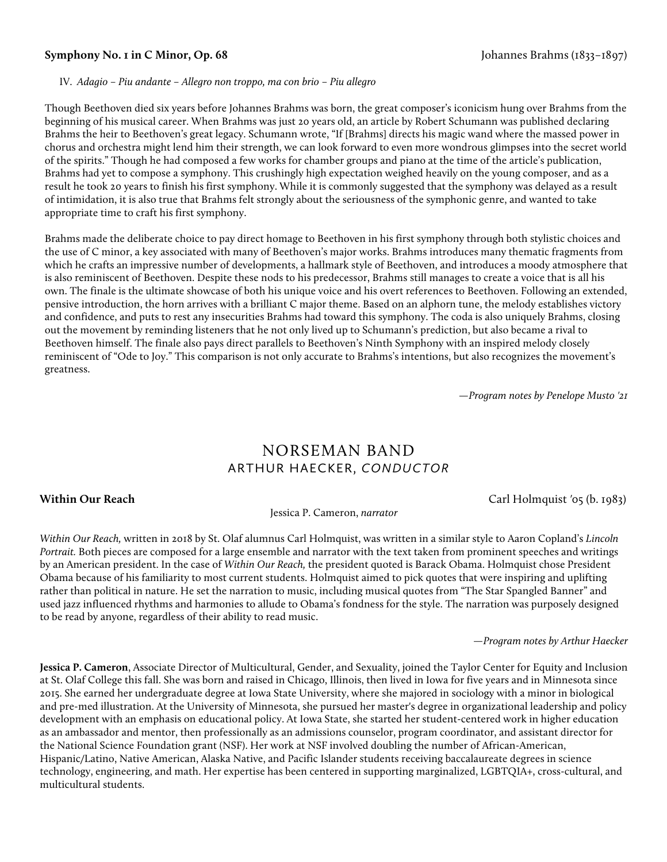#### **Symphony No. 1 in C Minor, Op. 68** Johannes Brahms (1833–1897)

#### IV. *Adagio – Piu andante – Allegro non troppo, ma con brio – Piu allegro*

Though Beethoven died six years before Johannes Brahms was born, the great composer's iconicism hung over Brahms from the beginning of his musical career. When Brahms was just 20 years old, an article by Robert Schumann was published declaring Brahms the heir to Beethoven's great legacy. Schumann wrote, "If [Brahms] directs his magic wand where the massed power in chorus and orchestra might lend him their strength, we can look forward to even more wondrous glimpses into the secret world of the spirits." Though he had composed a few works for chamber groups and piano at the time of the article's publication, Brahms had yet to compose a symphony. This crushingly high expectation weighed heavily on the young composer, and as a result he took 20 years to finish his first symphony. While it is commonly suggested that the symphony was delayed as a result of intimidation, it is also true that Brahms felt strongly about the seriousness of the symphonic genre, and wanted to take appropriate time to craft his first symphony.

Brahms made the deliberate choice to pay direct homage to Beethoven in his first symphony through both stylistic choices and the use of C minor, a key associated with many of Beethoven's major works. Brahms introduces many thematic fragments from which he crafts an impressive number of developments, a hallmark style of Beethoven, and introduces a moody atmosphere that is also reminiscent of Beethoven. Despite these nods to his predecessor, Brahms still manages to create a voice that is all his own. The finale is the ultimate showcase of both his unique voice and his overt references to Beethoven. Following an extended, pensive introduction, the horn arrives with a brilliant C major theme. Based on an alphorn tune, the melody establishes victory and confidence, and puts to rest any insecurities Brahms had toward this symphony. The coda is also uniquely Brahms, closing out the movement by reminding listeners that he not only lived up to Schumann's prediction, but also became a rival to Beethoven himself. The finale also pays direct parallels to Beethoven's Ninth Symphony with an inspired melody closely reminiscent of "Ode to Joy." This comparison is not only accurate to Brahms's intentions, but also recognizes the movement's greatness.

*—Program notes by Penelope Musto '21*

## NORSEMAN BAND ARTHUR HAECKER, *CONDUCTOR*

#### **Within Our Reach**Carl Holmquist *'*05 (b. 1983)

Jessica P. Cameron, *narrator*

*Within Our Reach,* written in 2018 by St. Olaf alumnus Carl Holmquist, was written in a similar style to Aaron Copland's *Lincoln Portrait.* Both pieces are composed for a large ensemble and narrator with the text taken from prominent speeches and writings by an American president. In the case of *Within Our Reach,* the president quoted is Barack Obama. Holmquist chose President Obama because of his familiarity to most current students. Holmquist aimed to pick quotes that were inspiring and uplifting rather than political in nature. He set the narration to music, including musical quotes from "The Star Spangled Banner" and used jazz influenced rhythms and harmonies to allude to Obama's fondness for the style. The narration was purposely designed to be read by anyone, regardless of their ability to read music.

*—Program notes by Arthur Haecker*

**Jessica P. Cameron**, Associate Director of Multicultural, Gender, and Sexuality, joined the Taylor Center for Equity and Inclusion at St. Olaf College this fall. She was born and raised in Chicago, Illinois, then lived in Iowa for five years and in Minnesota since 2015. She earned her undergraduate degree at Iowa State University, where she majored in sociology with a minor in biological and pre-med illustration. At the University of Minnesota, she pursued her master's degree in organizational leadership and policy development with an emphasis on educational policy. At Iowa State, she started her student-centered work in higher education as an ambassador and mentor, then professionally as an admissions counselor, program coordinator, and assistant director for the National Science Foundation grant (NSF). Her work at NSF involved doubling the number of African-American, Hispanic/Latino, Native American, Alaska Native, and Pacific Islander students receiving baccalaureate degrees in science technology, engineering, and math. Her expertise has been centered in supporting marginalized, LGBTQIA+, cross-cultural, and multicultural students.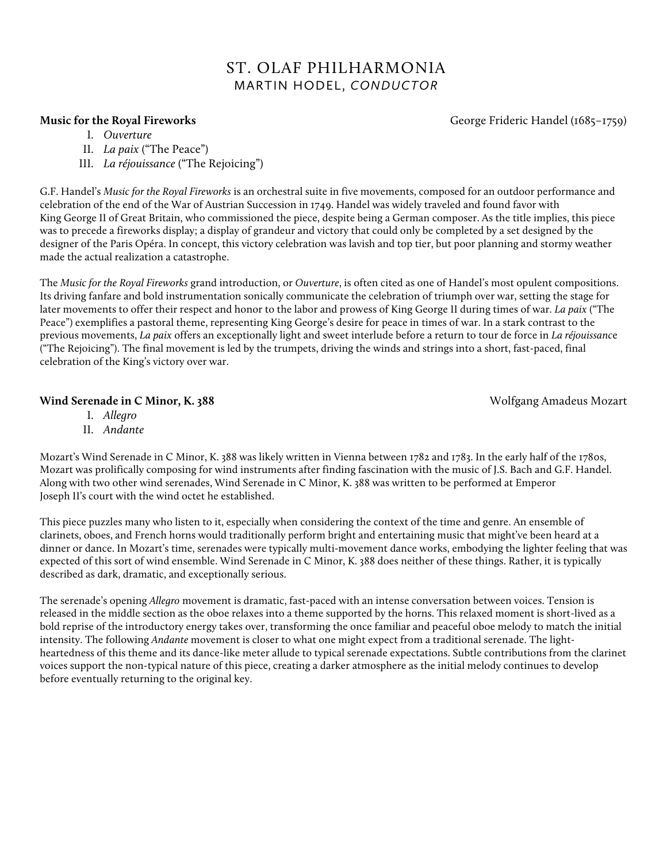## ST. OLAF PHILHARMONIA MARTIN HODEL, *CONDUCTOR*

- I. *Ouverture*
- II. *La paix* ("The Peace")
- III. *La réjouissance* ("The Rejoicing")

G.F. Handel's *Music for the Royal Fireworks* is an orchestral suite in five movements, composed for an outdoor performance and celebration of the end of the War of Austrian Succession in 1749. Handel was widely traveled and found favor with King George II of Great Britain, who commissioned the piece, despite being a German composer. As the title implies, this piece was to precede a fireworks display; a display of grandeur and victory that could only be completed by a set designed by the designer of the Paris Opéra. In concept, this victory celebration was lavish and top tier, but poor planning and stormy weather made the actual realization a catastrophe.

The *Music for the Royal Fireworks* grand introduction, or *Ouverture*, is often cited as one of Handel's most opulent compositions. Its driving fanfare and bold instrumentation sonically communicate the celebration of triumph over war, setting the stage for later movements to offer their respect and honor to the labor and prowess of King George II during times of war. *La paix* ("The Peace") exemplifies a pastoral theme, representing King George's desire for peace in times of war. In a stark contrast to the previous movements, *La paix* offers an exceptionally light and sweet interlude before a return to tour de force in *La réjouissanc*e ("The Rejoicing"). The final movement is led by the trumpets, driving the winds and strings into a short, fast-paced, final celebration of the King's victory over war.

### **Wind Serenade in C Minor, K. 388 Wind Serenadeus Mozart** North American Service American Service American Service American Service American Service American Service American Service American Service American Service Ame

I. *Allegro*

II. *Andante* 

Mozart's Wind Serenade in C Minor, K. 388 was likely written in Vienna between 1782 and 1783. In the early half of the 1780s, Mozart was prolifically composing for wind instruments after finding fascination with the music of J.S. Bach and G.F. Handel. Along with two other wind serenades, Wind Serenade in C Minor, K. 388 was written to be performed at Emperor Joseph II's court with the wind octet he established.

This piece puzzles many who listen to it, especially when considering the context of the time and genre. An ensemble of clarinets, oboes, and French horns would traditionally perform bright and entertaining music that might've been heard at a dinner or dance. In Mozart's time, serenades were typically multi-movement dance works, embodying the lighter feeling that was expected of this sort of wind ensemble. Wind Serenade in C Minor, K. 388 does neither of these things. Rather, it is typically described as dark, dramatic, and exceptionally serious.

The serenade's opening *Allegro* movement is dramatic, fast-paced with an intense conversation between voices. Tension is released in the middle section as the oboe relaxes into a theme supported by the horns. This relaxed moment is short-lived as a bold reprise of the introductory energy takes over, transforming the once familiar and peaceful oboe melody to match the initial intensity. The following *Andante* movement is closer to what one might expect from a traditional serenade. The lightheartedness of this theme and its dance-like meter allude to typical serenade expectations. Subtle contributions from the clarinet voices support the non-typical nature of this piece, creating a darker atmosphere as the initial melody continues to develop before eventually returning to the original key.

**Music for the Royal Fireworks George Frideric Handel (1685–1759)**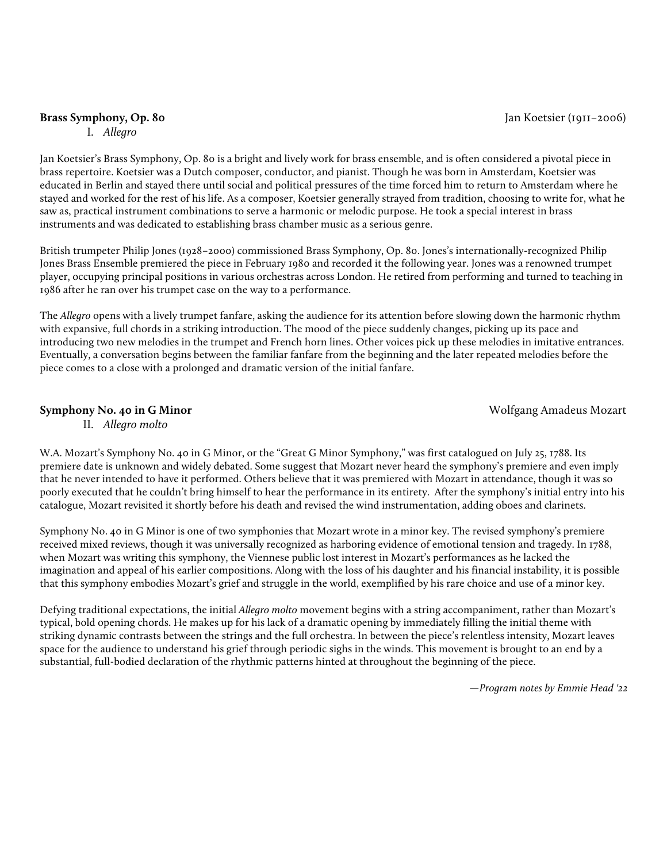#### **Brass Symphony, Op. 80** Jan Koetsier (1911–2006)

I. *Allegro*

Jan Koetsier's Brass Symphony, Op. 80 is a bright and lively work for brass ensemble, and is often considered a pivotal piece in brass repertoire. Koetsier was a Dutch composer, conductor, and pianist. Though he was born in Amsterdam, Koetsier was educated in Berlin and stayed there until social and political pressures of the time forced him to return to Amsterdam where he stayed and worked for the rest of his life. As a composer, Koetsier generally strayed from tradition, choosing to write for, what he saw as, practical instrument combinations to serve a harmonic or melodic purpose. He took a special interest in brass instruments and was dedicated to establishing brass chamber music as a serious genre.

British trumpeter Philip Jones (1928–2000) commissioned Brass Symphony, Op. 80. Jones's internationally-recognized Philip Jones Brass Ensemble premiered the piece in February 1980 and recorded it the following year. Jones was a renowned trumpet player, occupying principal positions in various orchestras across London. He retired from performing and turned to teaching in 1986 after he ran over his trumpet case on the way to a performance.

The *Allegro* opens with a lively trumpet fanfare, asking the audience for its attention before slowing down the harmonic rhythm with expansive, full chords in a striking introduction. The mood of the piece suddenly changes, picking up its pace and introducing two new melodies in the trumpet and French horn lines. Other voices pick up these melodies in imitative entrances. Eventually, a conversation begins between the familiar fanfare from the beginning and the later repeated melodies before the piece comes to a close with a prolonged and dramatic version of the initial fanfare.

#### **Symphony No. 40 in G Minor Notify and Symphony No. 40 in G Minor Notify and Amadeus Mozart Wolfgang Amadeus Mozart**

II. *Allegro molto* 

W.A. Mozart's Symphony No. 40 in G Minor, or the "Great G Minor Symphony," was first catalogued on July 25, 1788. Its premiere date is unknown and widely debated. Some suggest that Mozart never heard the symphony's premiere and even imply that he never intended to have it performed. Others believe that it was premiered with Mozart in attendance, though it was so poorly executed that he couldn't bring himself to hear the performance in its entirety. After the symphony's initial entry into his catalogue, Mozart revisited it shortly before his death and revised the wind instrumentation, adding oboes and clarinets.

Symphony No. 40 in G Minor is one of two symphonies that Mozart wrote in a minor key. The revised symphony's premiere received mixed reviews, though it was universally recognized as harboring evidence of emotional tension and tragedy. In 1788, when Mozart was writing this symphony, the Viennese public lost interest in Mozart's performances as he lacked the imagination and appeal of his earlier compositions. Along with the loss of his daughter and his financial instability, it is possible that this symphony embodies Mozart's grief and struggle in the world, exemplified by his rare choice and use of a minor key.

Defying traditional expectations, the initial *Allegro molto* movement begins with a string accompaniment, rather than Mozart's typical, bold opening chords. He makes up for his lack of a dramatic opening by immediately filling the initial theme with striking dynamic contrasts between the strings and the full orchestra. In between the piece's relentless intensity, Mozart leaves space for the audience to understand his grief through periodic sighs in the winds. This movement is brought to an end by a substantial, full-bodied declaration of the rhythmic patterns hinted at throughout the beginning of the piece.

*—Program notes by Emmie Head '22*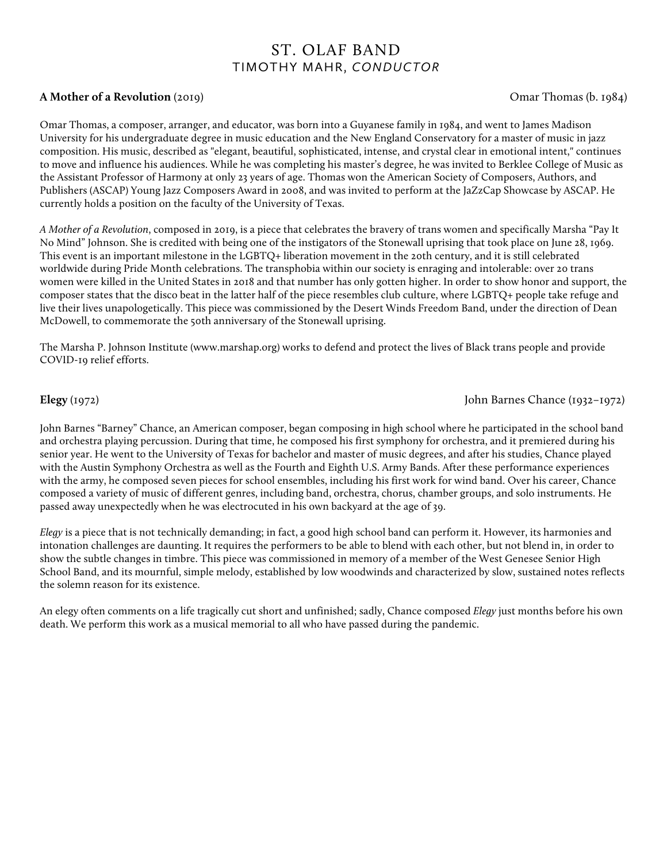## ST. OLAF BAND TIMOTHY MAHR, *CONDUCTOR*

### **A Mother of a Revolution** (2019)Omar Thomas (b. 1984)

Omar Thomas, a composer, arranger, and educator, was born into a Guyanese family in 1984, and went to James Madison University for his undergraduate degree in music education and the New England Conservatory for a master of music in jazz composition. His music, described as "elegant, beautiful, sophisticated, intense, and crystal clear in emotional intent," continues to move and influence his audiences. While he was completing his master's degree, he was invited to Berklee College of Music as the Assistant Professor of Harmony at only 23 years of age. Thomas won the American Society of Composers, Authors, and Publishers (ASCAP) Young Jazz Composers Award in 2008, and was invited to perform at the JaZzCap Showcase by ASCAP. He currently holds a position on the faculty of the University of Texas.

*A Mother of a Revolution*, composed in 2019, is a piece that celebrates the bravery of trans women and specifically Marsha "Pay It No Mind" Johnson. She is credited with being one of the instigators of the Stonewall uprising that took place on June 28, 1969. This event is an important milestone in the LGBTQ+ liberation movement in the 20th century, and it is still celebrated worldwide during Pride Month celebrations. The transphobia within our society is enraging and intolerable: over 20 trans women were killed in the United States in 2018 and that number has only gotten higher. In order to show honor and support, the composer states that the disco beat in the latter half of the piece resembles club culture, where LGBTQ+ people take refuge and live their lives unapologetically. This piece was commissioned by the Desert Winds Freedom Band, under the direction of Dean McDowell, to commemorate the 50th anniversary of the Stonewall uprising.

The Marsha P. Johnson Institute (www.marshap.org) works to defend and protect the lives of Black trans people and provide COVID-19 relief efforts.

#### **Elegy** (1972)John Barnes Chance (1932–1972)

John Barnes "Barney" Chance, an American composer, began composing in high school where he participated in the school band and orchestra playing percussion. During that time, he composed his first symphony for orchestra, and it premiered during his senior year. He went to the University of Texas for bachelor and master of music degrees, and after his studies, Chance played with the Austin Symphony Orchestra as well as the Fourth and Eighth U.S. Army Bands. After these performance experiences with the army, he composed seven pieces for school ensembles, including his first work for wind band. Over his career, Chance composed a variety of music of different genres, including band, orchestra, chorus, chamber groups, and solo instruments. He passed away unexpectedly when he was electrocuted in his own backyard at the age of 39.

*Elegy* is a piece that is not technically demanding; in fact, a good high school band can perform it. However, its harmonies and intonation challenges are daunting. It requires the performers to be able to blend with each other, but not blend in, in order to show the subtle changes in timbre. This piece was commissioned in memory of a member of the West Genesee Senior High School Band, and its mournful, simple melody, established by low woodwinds and characterized by slow, sustained notes reflects the solemn reason for its existence.

An elegy often comments on a life tragically cut short and unfinished; sadly, Chance composed *Elegy* just months before his own death. We perform this work as a musical memorial to all who have passed during the pandemic.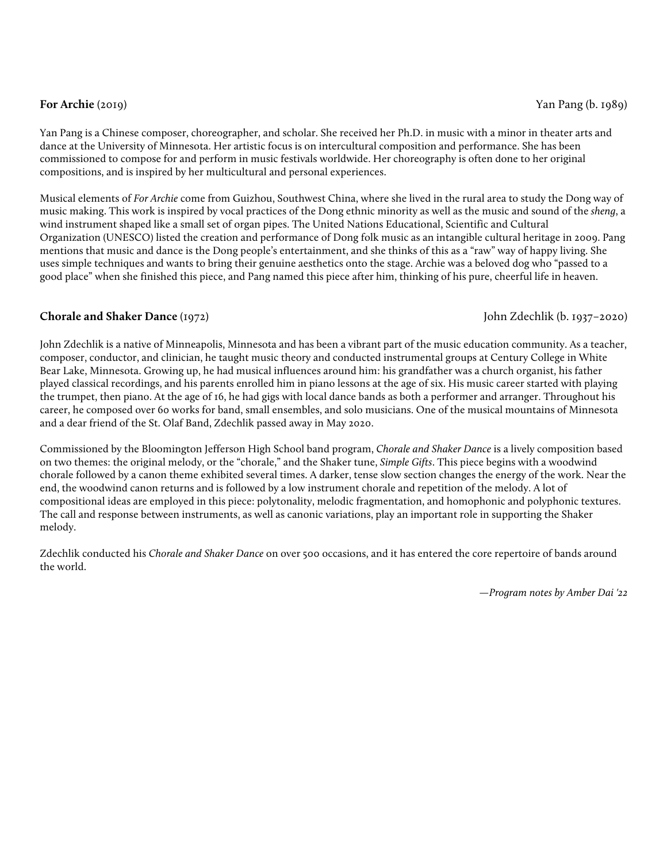### **For Archie** (2019)Yan Pang (b. 1989)

Yan Pang is a Chinese composer, choreographer, and scholar. She received her Ph.D. in music with a minor in theater arts and dance at the University of Minnesota. Her artistic focus is on intercultural composition and performance. She has been commissioned to compose for and perform in music festivals worldwide. Her choreography is often done to her original compositions, and is inspired by her multicultural and personal experiences.

Musical elements of *For Archie* come from Guizhou, Southwest China, where she lived in the rural area to study the Dong way of music making. This work is inspired by vocal practices of the Dong ethnic minority as well as the music and sound of the *sheng*, a wind instrument shaped like a small set of organ pipes. The United Nations Educational, Scientific and Cultural Organization (UNESCO) listed the creation and performance of Dong folk music as an intangible cultural heritage in 2009. Pang mentions that music and dance is the Dong people's entertainment, and she thinks of this as a "raw" way of happy living. She uses simple techniques and wants to bring their genuine aesthetics onto the stage. Archie was a beloved dog who "passed to a good place" when she finished this piece, and Pang named this piece after him, thinking of his pure, cheerful life in heaven.

### **Chorale and Shaker Dance** (1972)John Zdechlik (b. 1937–2020)

John Zdechlik is a native of Minneapolis, Minnesota and has been a vibrant part of the music education community. As a teacher, composer, conductor, and clinician, he taught music theory and conducted instrumental groups at Century College in White Bear Lake, Minnesota. Growing up, he had musical influences around him: his grandfather was a church organist, his father played classical recordings, and his parents enrolled him in piano lessons at the age of six. His music career started with playing the trumpet, then piano. At the age of 16, he had gigs with local dance bands as both a performer and arranger. Throughout his career, he composed over 60 works for band, small ensembles, and solo musicians. One of the musical mountains of Minnesota and a dear friend of the St. Olaf Band, Zdechlik passed away in May 2020.

Commissioned by the Bloomington Jefferson High School band program, *Chorale and Shaker Dance* is a lively composition based on two themes: the original melody, or the "chorale," and the Shaker tune, *Simple Gifts*. This piece begins with a woodwind chorale followed by a canon theme exhibited several times. A darker, tense slow section changes the energy of the work. Near the end, the woodwind canon returns and is followed by a low instrument chorale and repetition of the melody. A lot of compositional ideas are employed in this piece: polytonality, melodic fragmentation, and homophonic and polyphonic textures. The call and response between instruments, as well as canonic variations, play an important role in supporting the Shaker melody.

Zdechlik conducted his *Chorale and Shaker Dance* on over 500 occasions, and it has entered the core repertoire of bands around the world.

*—Program notes by Amber Dai '22*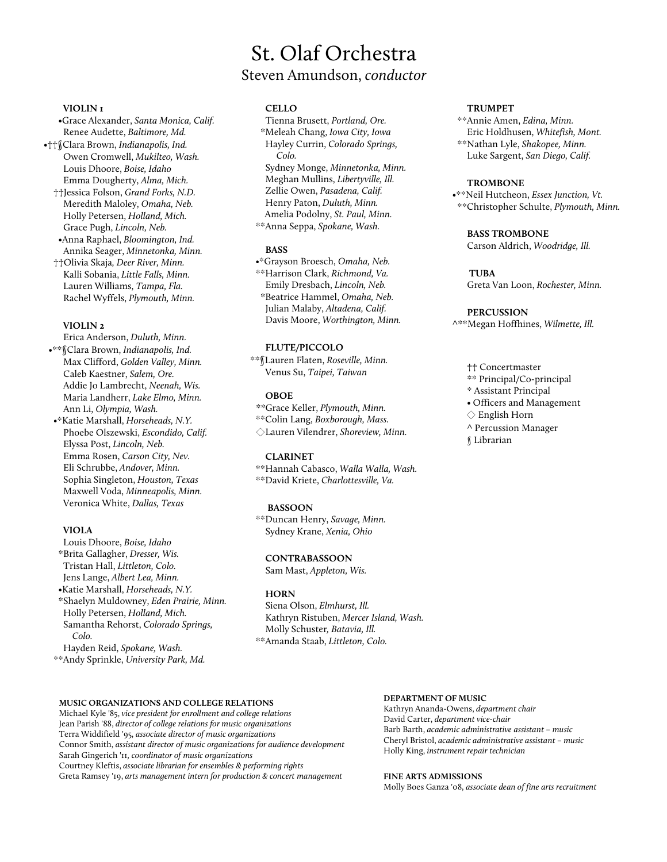#### **VIOLIN 1**

•Grace Alexander, *Santa Monica, Calif.* Renee Audette, *Baltimore, Md.*

- •††§Clara Brown, *Indianapolis, Ind.* Owen Cromwell, *Mukilteo, Wash.* Louis Dhoore, *Boise, Idaho* Emma Dougherty, *Alma, Mich.*
	- ††Jessica Folson, *Grand Forks, N.D.* Meredith Maloley, *Omaha, Neb.* Holly Petersen, *Holland, Mich.* Grace Pugh, *Lincoln, Neb.*
	- •Anna Raphael, *Bloomington, Ind.* Annika Seager, *Minnetonka, Minn.* ††Olivia Skaja*, Deer River, Minn.*
	- Kalli Sobania, *Little Falls, Minn.* Lauren Williams, *Tampa, Fla.* Rachel Wyffels, *Plymouth, Minn.*

#### **VIOLIN 2**

Erica Anderson, *Duluth, Minn.*

- •\*\*§Clara Brown, *Indianapolis, Ind.* Max Clifford, *Golden Valley, Minn.* Caleb Kaestner, *Salem, Ore.* Addie Jo Lambrecht, *Neenah, Wis.* Maria Landherr, *Lake Elmo, Minn.* Ann Li, *Olympia, Wash.*
- •\*Katie Marshall, *Horseheads, N.Y.* Phoebe Olszewski, *Escondido, Calif.* Elyssa Post, *Lincoln, Neb.* Emma Rosen, *Carson City, Nev.* Eli Schrubbe, *Andover, Minn.* Sophia Singleton, *Houston, Texas* Maxwell Voda, *Minneapolis, Minn.* Veronica White, *Dallas, Texas*

#### **VIOLA**

Louis Dhoore, *Boise, Idaho* \*Brita Gallagher, *Dresser, Wis.* Tristan Hall, *Littleton, Colo.*

Jens Lange, *Albert Lea, Minn.*

•Katie Marshall, *Horseheads, N.Y.* \*Shaelyn Muldowney, *Eden Prairie, Minn.* Holly Petersen, *Holland, Mich.* Samantha Rehorst, *Colorado Springs, Colo.*

Hayden Reid, *Spokane, Wash.* \*\*Andy Sprinkle, *University Park, Md.*

#### **CELLO**

Tienna Brusett, *Portland, Ore.*

St. Olaf Orchestra

Steven Amundson, *conductor*

\*Meleah Chang, *Iowa City, Iowa* Hayley Currin, *Colorado Springs, Colo.* Sydney Monge, *Minnetonka, Minn.* Meghan Mullins, *Libertyville, Ill.*

Zellie Owen, *Pasadena, Calif.* Henry Paton, *Duluth, Minn.* Amelia Podolny, *St. Paul, Minn.*

\*\*Anna Seppa, *Spokane, Wash.*

#### **BASS**

•\*Grayson Broesch, *Omaha, Neb.* \*\*Harrison Clark, *Richmond, Va.* Emily Dresbach, *Lincoln, Neb.* \*Beatrice Hammel, *Omaha, Neb.* Julian Malaby, *Altadena, Calif.* Davis Moore, *Worthington, Minn.*

#### **FLUTE/PICCOLO**

\*\*§Lauren Flaten, *Roseville, Minn.* Venus Su, *Taipei, Taiwan*

#### **OBOE**

*\*\**Grace Keller, *Plymouth, Minn.*

\*\*Colin Lang, *Boxborough, Mass.* ◇Lauren Vilendrer, *Shoreview, Minn.*

#### **CLARINET**

\*\*Hannah Cabasco, *Walla Walla, Wash.*

\*\*David Kriete, *Charlottesville, Va.*

#### **BASSOON**

\*\*Duncan Henry, *Savage, Minn.* Sydney Krane, *Xenia, Ohio*

#### **CONTRABASSOON**

Sam Mast, *Appleton, Wis.*

#### **HORN**

Siena Olson, *Elmhurst, Ill.* Kathryn Ristuben, *Mercer Island, Wash.* Molly Schuster*, Batavia, Ill.* \*\*Amanda Staab, *Littleton, Colo.*

#### **TRUMPET**

\*\*Annie Amen, *Edina, Minn.* Eric Holdhusen, *Whitefish, Mont.* \*\*Nathan Lyle, *Shakopee, Minn.* Luke Sargent, *San Diego, Calif.*

#### **TROMBONE**

•\*\*Neil Hutcheon, *Essex Junction, Vt.* \*\*Christopher Schulte, *Plymouth, Minn.*

#### **BASS TROMBONE**

Carson Aldrich, *Woodridge, Ill.*

#### **TUBA**

Greta Van Loon, *Rochester, Minn.*

#### **PERCUSSION**

^\*\*Megan Hoffhines, *Wilmette, Ill.*

- †† Concertmaster
- \*\* Principal/Co-principal
- \* Assistant Principal
- Officers and Management
- ◇ English Horn
- ^ Percussion Manager
- § Librarian

#### **MUSIC ORGANIZATIONS AND COLLEGE RELATIONS**

Michael Kyle '85, *vice president for enrollment and college relations* Jean Parish '88, *director of college relations for music organizations*  Terra Widdifield '95, *associate director of music organizations*  Connor Smith, *assistant director of music organizations for audience development* Sarah Gingerich '11*, coordinator of music organizations* Courtney Kleftis, *associate librarian for ensembles & performing rights* Greta Ramsey '19, *arts management intern for production & concert management*

#### **DEPARTMENT OF MUSIC**

Kathryn Ananda-Owens, *department chair* David Carter, *department vice-chair* Barb Barth, *academic administrative assistant – music* Cheryl Bristol, *academic administrative assistant – music*  Holly King, *instrument repair technician* 

**FINE ARTS ADMISSIONS** 

Molly Boes Ganza '08, *associate dean of fine arts recruitment*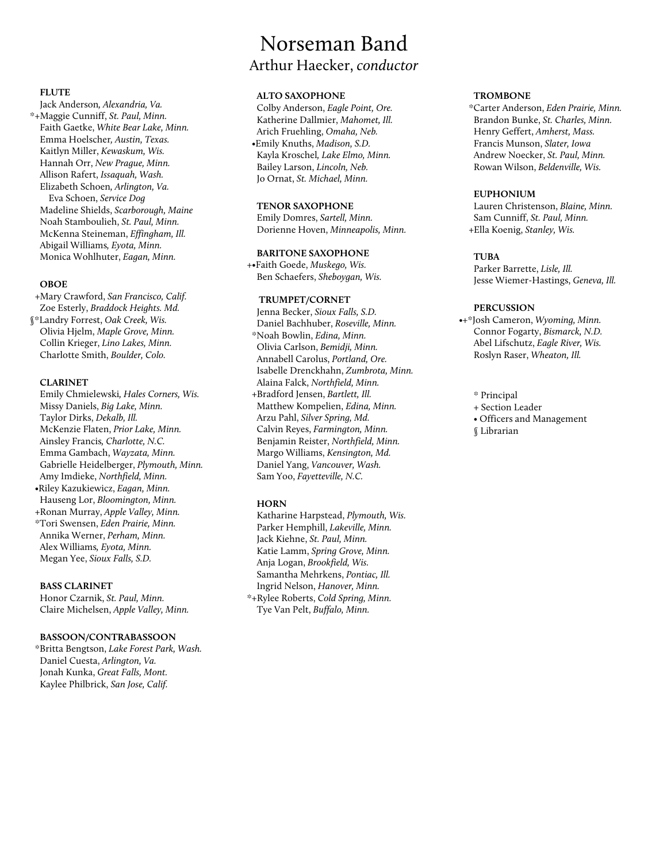#### **FLUTE**

Jack Anderson*, Alexandria, Va.* \*+Maggie Cunniff, *St. Paul, Minn.* Faith Gaetke, *White Bear Lake, Minn.* Emma Hoelscher*, Austin, Texas.* Kaitlyn Miller, *Kewaskum, Wis.* Hannah Orr, *New Prague, Minn.* Allison Rafert, *Issaquah, Wash.* Elizabeth Schoen*, Arlington, Va.* Eva Schoen, *Service Dog* Madeline Shields, *Scarborough, Maine* Noah Stamboulieh, *St. Paul, Minn.* McKenna Steineman, *Effingham, Ill.* Abigail Williams*, Eyota, Minn.* Monica Wohlhuter, *Eagan, Minn.*

#### **OBOE**

+Mary Crawford, *San Francisco, Calif.* Zoe Esterly, *Braddock Heights. Md.*

§\*Landry Forrest, *Oak Creek, Wis.* Olivia Hjelm, *Maple Grove, Minn.* Collin Krieger, *Lino Lakes, Minn.* Charlotte Smith, *Boulder, Colo.*

#### **CLARINET**

Emily Chmielewski*, Hales Corners, Wis.* Missy Daniels, *Big Lake, Minn.* Taylor Dirks, *Dekalb, Ill.* McKenzie Flaten, *Prior Lake, Minn.* Ainsley Francis*, Charlotte, N.C.* Emma Gambach, *Wayzata, Minn.* Gabrielle Heidelberger, *Plymouth, Minn.* Amy Imdieke, *Northfield, Minn.* •Riley Kazukiewicz, *Eagan, Minn.* Hauseng Lor, *Bloomington, Minn.* +Ronan Murray, *Apple Valley, Minn.* \*Tori Swensen, *Eden Prairie, Minn.* Annika Werner, *Perham, Minn.* Alex Williams*, Eyota, Minn.* Megan Yee, *Sioux Falls, S.D.*

#### **BASS CLARINET**

Honor Czarnik, *St. Paul, Minn.* Claire Michelsen, *Apple Valley, Minn.*

#### **BASSOON/CONTRABASSOON**

\*Britta Bengtson, *Lake Forest Park, Wash.* Daniel Cuesta, *Arlington, Va.*  Jonah Kunka, *Great Falls, Mont.* Kaylee Philbrick, *San Jose, Calif.*

## Norseman Band

## Arthur Haecker, *conductor*

#### **ALTO SAXOPHONE**

Colby Anderson, *Eagle Point, Ore.* Katherine Dallmier, *Mahomet, Ill.* Arich Fruehling, *Omaha, Neb.* •Emily Knuths, *Madison, S.D.* Kayla Kroschel*, Lake Elmo, Minn.* Bailey Larson, *Lincoln, Neb.* Jo Ornat, *St. Michael, Minn.*

#### **TENOR SAXOPHONE**

Emily Domres, *Sartell, Minn.* Dorienne Hoven, *Minneapolis, Minn.*

#### **BARITONE SAXOPHONE**

+•Faith Goede, *Muskego, Wis.* Ben Schaefers, *Sheboygan, Wis.*

#### **TRUMPET/CORNET**

Jenna Becker, *Sioux Falls, S.D.* Daniel Bachhuber, *Roseville, Minn.* \*Noah Bowlin, *Edina, Minn.* Olivia Carlson, *Bemidji, Minn.* Annabell Carolus, *Portland, Ore.* Isabelle Drenckhahn, *Zumbrota, Minn.* Alaina Falck, *Northfield, Minn.* +Bradford Jensen, *Bartlett, Ill.* Matthew Kompelien, *Edina, Minn.* Arzu Pahl, *Silver Spring, Md.* Calvin Reyes, *Farmington, Minn.* Benjamin Reister, *Northfield, Minn.* Margo Williams, *Kensington, Md.* Daniel Yang, *Vancouver, Wash.* Sam Yoo, *Fayetteville, N.C.*

#### **HORN**

Katharine Harpstead, *Plymouth, Wis.* Parker Hemphill, *Lakeville, Minn.* Jack Kiehne, *St. Paul, Minn.* Katie Lamm, *Spring Grove, Minn.* Anja Logan, *Brookfield, Wis.* Samantha Mehrkens, *Pontiac, Ill.* Ingrid Nelson, *Hanover, Minn.* \*+Rylee Roberts, *Cold Spring, Minn.*

Tye Van Pelt, *Buffalo, Minn.*

#### **TROMBONE**

\*Carter Anderson, *Eden Prairie, Minn.* Brandon Bunke, *St. Charles, Minn.* Henry Geffert, *Amherst, Mass.* Francis Munson, *Slater, Iowa* Andrew Noecker, *St. Paul, Minn.* Rowan Wilson, *Beldenville, Wis.*

#### **EUPHONIUM**

Lauren Christenson, *Blaine, Minn.* Sam Cunniff, *St. Paul, Minn.* +Ella Koenig, *Stanley, Wis.*

#### **TUBA**

Parker Barrette, *Lisle, Ill.* Jesse Wiemer-Hastings, *Geneva, Ill.*

#### **PERCUSSION**

- •+\*Josh Cameron, *Wyoming, Minn.* Connor Fogarty, *Bismarck, N.D.* Abel Lifschutz, *Eagle River, Wis.* Roslyn Raser, *Wheaton, Ill.*
	- \* Principal
	- + Section Leader
	- Officers and Management
	- § Librarian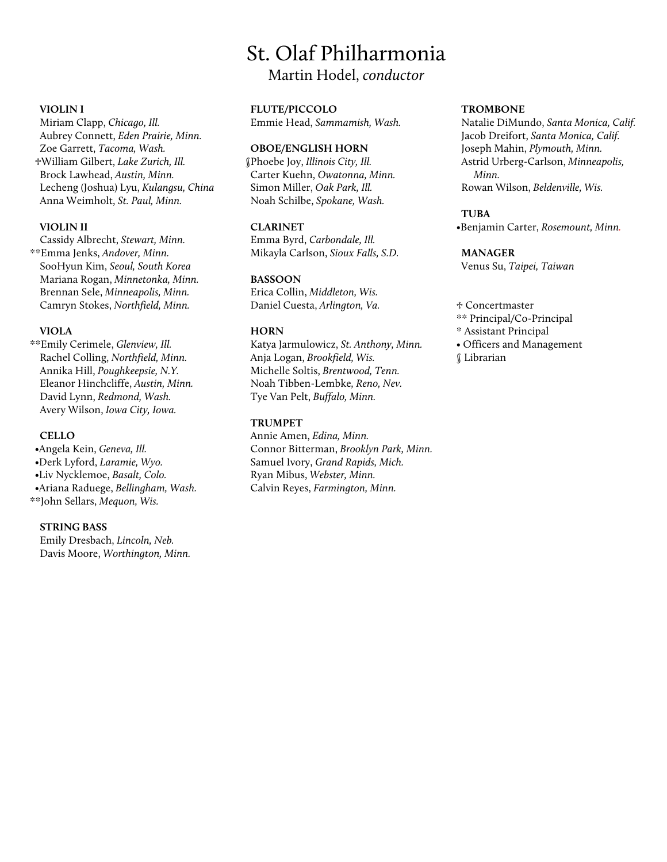## St. Olaf Philharmonia

Martin Hodel, *conductor*

#### **VIOLIN I**

Miriam Clapp, *Chicago, Ill.* Aubrey Connett, *Eden Prairie, Minn.* Zoe Garrett, *Tacoma, Wash.* ♱William Gilbert, *Lake Zurich, Ill.* Brock Lawhead, *Austin, Minn.* Lecheng (Joshua) Lyu, *Kulangsu, China* Anna Weimholt, *St. Paul, Minn.*

#### **VIOLIN II**

Cassidy Albrecht, *Stewart, Minn.* \*\*Emma Jenks, *Andover, Minn.* SooHyun Kim, *Seoul, South Korea* Mariana Rogan, *Minnetonka, Minn.* Brennan Sele, *Minneapolis, Minn.* Camryn Stokes, *Northfield, Minn.*

#### **VIOLA**

\*\*Emily Cerimele, *Glenview, Ill.* Rachel Colling, *Northfield, Minn.* Annika Hill, *Poughkeepsie, N.Y.* Eleanor Hinchcliffe, *Austin, Minn.* David Lynn, *Redmond, Wash.* Avery Wilson, *Iowa City, Iowa.*

#### **CELLO**

•Angela Kein, *Geneva, Ill.* •Derk Lyford, *Laramie, Wyo.* •Liv Nycklemoe, *Basalt, Colo.* •Ariana Raduege, *Bellingham, Wash.* \*\*John Sellars, *Mequon, Wis.*

#### **STRING BASS**

Emily Dresbach, *Lincoln, Neb.* Davis Moore, *Worthington, Minn.*

#### **FLUTE/PICCOLO**

Emmie Head, *Sammamish, Wash.*

#### **OBOE/ENGLISH HORN**

§Phoebe Joy, *Illinois City, Ill.* Carter Kuehn, *Owatonna, Minn.* Simon Miller, *Oak Park, Ill.* Noah Schilbe, *Spokane, Wash.*

#### **CLARINET**

Emma Byrd, *Carbondale, Ill.* Mikayla Carlson, *Sioux Falls, S.D.*

#### **BASSOON**

Erica Collin, *Middleton, Wis.* Daniel Cuesta, *Arlington, Va.*

#### **HORN**

 Katya Jarmulowicz, *St. Anthony, Minn.* Anja Logan, *Brookfield, Wis.* Michelle Soltis, *Brentwood, Tenn.* Noah Tibben-Lembke*, Reno, Nev.* Tye Van Pelt, *Buffalo, Minn.*

#### **TRUMPET**

Annie Amen, *Edina, Minn.* Connor Bitterman, *Brooklyn Park, Minn.* Samuel Ivory, *Grand Rapids, Mich.* Ryan Mibus, *Webster, Minn.* Calvin Reyes, *Farmington, Minn.*

#### **TROMBONE**

Natalie DiMundo, *Santa Monica, Calif.* Jacob Dreifort, *Santa Monica, Calif.* Joseph Mahin, *Plymouth, Minn.* Astrid Urberg-Carlson, *Minneapolis, Minn.* Rowan Wilson, *Beldenville, Wis.*

#### **TUBA**

•Benjamin Carter, *Rosemount, Minn.*

#### **MANAGER**

Venus Su, *Taipei, Taiwan*

#### ♱ Concertmaster

- \*\* Principal/Co-Principal
- \* Assistant Principal
- Officers and Management
- § Librarian